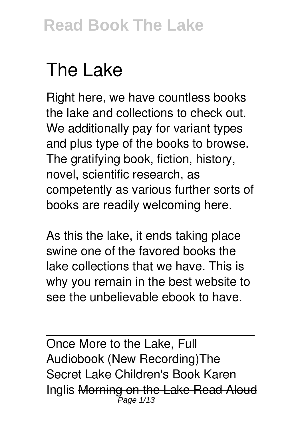# **The Lake**

Right here, we have countless books **the lake** and collections to check out. We additionally pay for variant types and plus type of the books to browse. The gratifying book, fiction, history, novel, scientific research, as competently as various further sorts of books are readily welcoming here.

As this the lake, it ends taking place swine one of the favored books the lake collections that we have. This is why you remain in the best website to see the unbelievable ebook to have.

Once More to the Lake, Full Audiobook (New Recording)*The Secret Lake Children's Book Karen Inglis* Morning on the Lake Read Aloud Page 1/13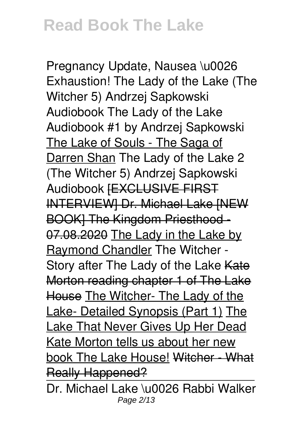*Pregnancy Update, Nausea \u0026 Exhaustion! The Lady of the Lake (The Witcher 5) Andrzej Sapkowski Audiobook The Lady of the Lake Audiobook #1 by Andrzej Sapkowski* The Lake of Souls - The Saga of Darren Shan The Lady of the Lake 2 (The Witcher 5) Andrzej Sapkowski Audiobook [EXCLUSIVE FIRST INTERVIEW] Dr. Michael Lake [NEW BOOK] The Kingdom Priesthood - 07.08.2020 The Lady in the Lake by Raymond Chandler The Witcher - Story after The Lady of the Lake Kate Morton reading chapter 1 of The Lake House The Witcher- The Lady of the Lake- Detailed Synopsis (Part 1) The Lake That Never Gives Up Her Dead Kate Morton tells us about her new book The Lake House! Witcher - What Really Happened?

Dr. Michael Lake \u0026 Rabbi Walker Page 2/13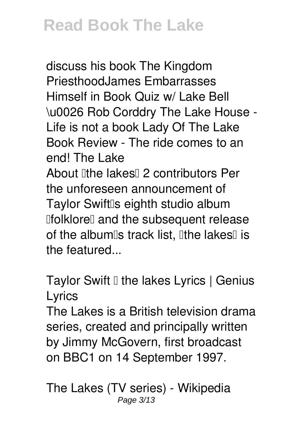discuss his book The Kingdom Priesthood**James Embarrasses Himself in Book Quiz w/ Lake Bell \u0026 Rob Corddry The Lake House - Life is not a book Lady Of The Lake Book Review - The ride comes to an end! The Lake** About lithe lakes<sup>[1]</sup> 2 contributors Per the unforeseen announcement of Taylor Swift<sup>[</sup>s eighth studio album **IfolkloreI** and the subsequent release of the album<sup>®</sup>s track list, <sup>[]</sup>the lakes<sup>[]</sup> is the featured...

**Taylor Swift I the lakes Lyrics | Genius Lyrics**

The Lakes is a British television drama series, created and principally written by Jimmy McGovern, first broadcast on BBC1 on 14 September 1997.

**The Lakes (TV series) - Wikipedia** Page 3/13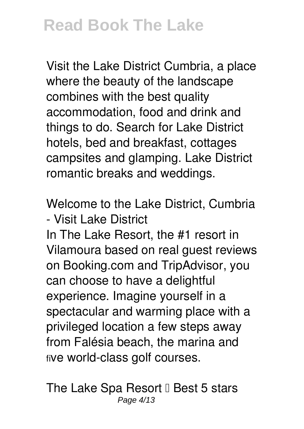Visit the Lake District Cumbria, a place where the beauty of the landscape combines with the best quality accommodation, food and drink and things to do. Search for Lake District hotels, bed and breakfast, cottages campsites and glamping. Lake District romantic breaks and weddings.

**Welcome to the Lake District, Cumbria - Visit Lake District**

In The Lake Resort, the #1 resort in Vilamoura based on real guest reviews on Booking.com and TripAdvisor, you can choose to have a delightful experience. Imagine yourself in a spectacular and warming place with a privileged location a few steps away from Falésia beach, the marina and five world-class golf courses.

**The Lake Spa Resort II Best 5 stars** Page 4/13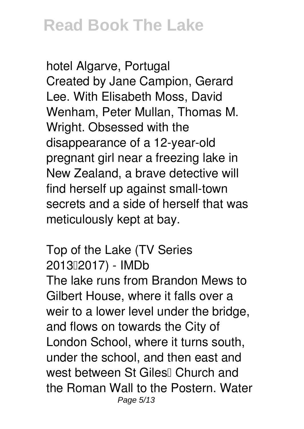**hotel Algarve, Portugal** Created by Jane Campion, Gerard Lee. With Elisabeth Moss, David Wenham, Peter Mullan, Thomas M. Wright. Obsessed with the disappearance of a 12-year-old pregnant girl near a freezing lake in New Zealand, a brave detective will find herself up against small-town secrets and a side of herself that was meticulously kept at bay.

**Top of the Lake (TV Series 2013–2017) - IMDb** The lake runs from Brandon Mews to Gilbert House, where it falls over a weir to a lower level under the bridge, and flows on towards the City of London School, where it turns south, under the school, and then east and west between St Giles<sup>[]</sup> Church and the Roman Wall to the Postern. Water Page 5/13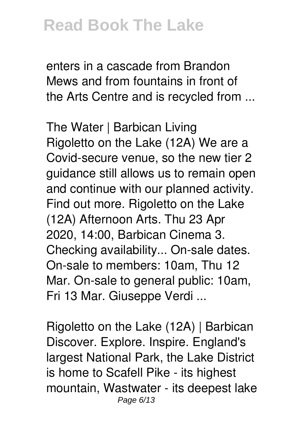enters in a cascade from Brandon Mews and from fountains in front of the Arts Centre and is recycled from ...

**The Water | Barbican Living** Rigoletto on the Lake (12A) We are a Covid-secure venue, so the new tier 2 guidance still allows us to remain open and continue with our planned activity. Find out more. Rigoletto on the Lake (12A) Afternoon Arts. Thu 23 Apr 2020, 14:00, Barbican Cinema 3. Checking availability... On-sale dates. On-sale to members: 10am, Thu 12 Mar. On-sale to general public: 10am, Fri 13 Mar. Giuseppe Verdi ...

**Rigoletto on the Lake (12A) | Barbican** Discover. Explore. Inspire. England's largest National Park, the Lake District is home to Scafell Pike - its highest mountain, Wastwater - its deepest lake Page 6/13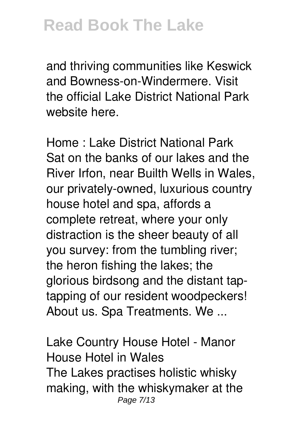and thriving communities like Keswick and Bowness-on-Windermere. Visit the official Lake District National Park website here.

**Home : Lake District National Park** Sat on the banks of our lakes and the River Irfon, near Builth Wells in Wales, our privately-owned, luxurious country house hotel and spa, affords a complete retreat, where your only distraction is the sheer beauty of all you survey: from the tumbling river; the heron fishing the lakes; the glorious birdsong and the distant taptapping of our resident woodpeckers! About us. Spa Treatments. We ...

**Lake Country House Hotel - Manor House Hotel in Wales** The Lakes practises holistic whisky making, with the whiskymaker at the Page 7/13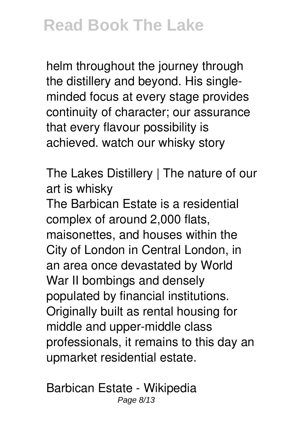helm throughout the journey through the distillery and beyond. His singleminded focus at every stage provides continuity of character; our assurance that every flavour possibility is achieved. watch our whisky story

**The Lakes Distillery | The nature of our art is whisky**

The Barbican Estate is a residential complex of around 2,000 flats, maisonettes, and houses within the City of London in Central London, in an area once devastated by World War II bombings and densely populated by financial institutions. Originally built as rental housing for middle and upper-middle class professionals, it remains to this day an upmarket residential estate.

**Barbican Estate - Wikipedia** Page 8/13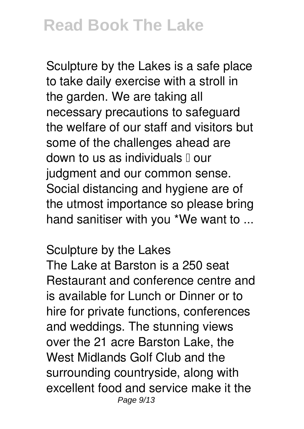Sculpture by the Lakes is a safe place to take daily exercise with a stroll in the garden. We are taking all necessary precautions to safeguard the welfare of our staff and visitors but some of the challenges ahead are down to us as individuals  $\mathbb I$  our judgment and our common sense. Social distancing and hygiene are of the utmost importance so please bring hand sanitiser with you \*We want to ...

#### **Sculpture by the Lakes**

The Lake at Barston is a 250 seat Restaurant and conference centre and is available for Lunch or Dinner or to hire for private functions, conferences and weddings. The stunning views over the 21 acre Barston Lake, the West Midlands Golf Club and the surrounding countryside, along with excellent food and service make it the Page 9/13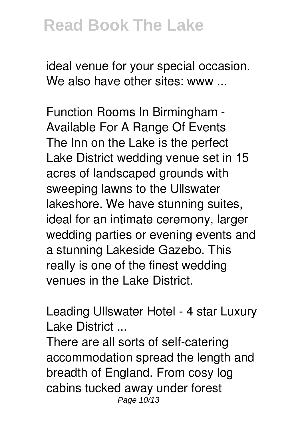ideal venue for your special occasion. We also have other sites: www...

**Function Rooms In Birmingham - Available For A Range Of Events** The Inn on the Lake is the perfect Lake District wedding venue set in 15 acres of landscaped grounds with sweeping lawns to the Ullswater lakeshore. We have stunning suites, ideal for an intimate ceremony, larger wedding parties or evening events and a stunning Lakeside Gazebo. This really is one of the finest wedding venues in the Lake District.

**Leading Ullswater Hotel - 4 star Luxury Lake District ...**

There are all sorts of self-catering accommodation spread the length and breadth of England. From cosy log cabins tucked away under forest Page 10/13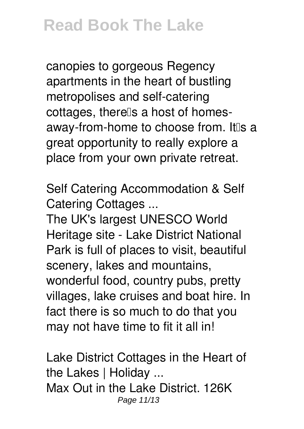canopies to gorgeous Regency apartments in the heart of bustling metropolises and self-catering cottages, therells a host of homesaway-from-home to choose from. It is a great opportunity to really explore a place from your own private retreat.

**Self Catering Accommodation & Self Catering Cottages ...**

The UK's largest UNESCO World Heritage site - Lake District National Park is full of places to visit, beautiful scenery, lakes and mountains, wonderful food, country pubs, pretty villages, lake cruises and boat hire. In fact there is so much to do that you may not have time to fit it all in!

**Lake District Cottages in the Heart of the Lakes | Holiday ...** Max Out in the Lake District. 126K Page 11/13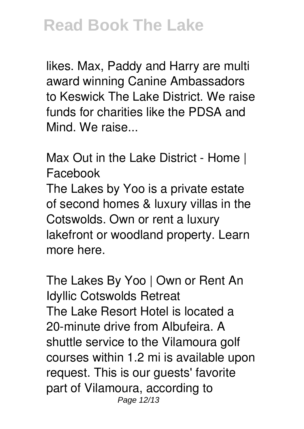likes. Max, Paddy and Harry are multi award winning Canine Ambassadors to Keswick The Lake District. We raise funds for charities like the PDSA and Mind. We raise...

**Max Out in the Lake District - Home | Facebook**

The Lakes by Yoo is a private estate of second homes & luxury villas in the Cotswolds. Own or rent a luxury lakefront or woodland property. Learn more here.

**The Lakes By Yoo | Own or Rent An Idyllic Cotswolds Retreat** The Lake Resort Hotel is located a 20-minute drive from Albufeira. A shuttle service to the Vilamoura golf courses within 1.2 mi is available upon request. This is our guests' favorite part of Vilamoura, according to Page 12/13